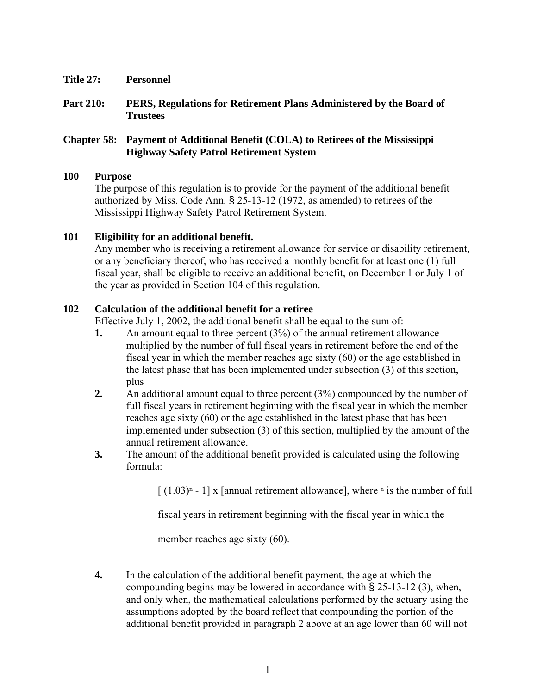- **Title 27: Personnel**
- **Part 210: PERS, Regulations for Retirement Plans Administered by the Board of Trustees**

## **Chapter 58: Payment of Additional Benefit (COLA) to Retirees of the Mississippi Highway Safety Patrol Retirement System**

#### **100 Purpose**

The purpose of this regulation is to provide for the payment of the additional benefit authorized by Miss. Code Ann. § 25-13-12 (1972, as amended) to retirees of the Mississippi Highway Safety Patrol Retirement System.

## **101 Eligibility for an additional benefit.**

Any member who is receiving a retirement allowance for service or disability retirement, or any beneficiary thereof, who has received a monthly benefit for at least one (1) full fiscal year, shall be eligible to receive an additional benefit, on December 1 or July 1 of the year as provided in Section 104 of this regulation.

## **102 Calculation of the additional benefit for a retiree**

Effective July 1, 2002, the additional benefit shall be equal to the sum of:

- **1.** An amount equal to three percent (3%) of the annual retirement allowance multiplied by the number of full fiscal years in retirement before the end of the fiscal year in which the member reaches age sixty (60) or the age established in the latest phase that has been implemented under subsection (3) of this section, plus
- **2.** An additional amount equal to three percent (3%) compounded by the number of full fiscal years in retirement beginning with the fiscal year in which the member reaches age sixty (60) or the age established in the latest phase that has been implemented under subsection (3) of this section, multiplied by the amount of the annual retirement allowance.
- **3.** The amount of the additional benefit provided is calculated using the following formula:

 $\left[ (1.03)^{n} - 1 \right]$  x [annual retirement allowance], where <sup>n</sup> is the number of full

fiscal years in retirement beginning with the fiscal year in which the

member reaches age sixty (60).

**4.** In the calculation of the additional benefit payment, the age at which the compounding begins may be lowered in accordance with § 25-13-12 (3), when, and only when, the mathematical calculations performed by the actuary using the assumptions adopted by the board reflect that compounding the portion of the additional benefit provided in paragraph 2 above at an age lower than 60 will not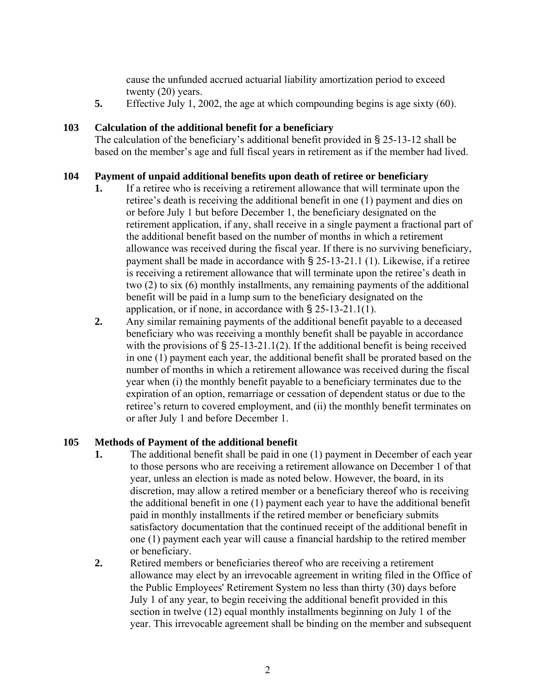cause the unfunded accrued actuarial liability amortization period to exceed twenty (20) years.

**5.** Effective July 1, 2002, the age at which compounding begins is age sixty (60).

## **103 Calculation of the additional benefit for a beneficiary**

The calculation of the beneficiary's additional benefit provided in § 25-13-12 shall be based on the member's age and full fiscal years in retirement as if the member had lived.

## **104 Payment of unpaid additional benefits upon death of retiree or beneficiary**

- **1.** If a retiree who is receiving a retirement allowance that will terminate upon the retiree's death is receiving the additional benefit in one (1) payment and dies on or before July 1 but before December 1, the beneficiary designated on the retirement application, if any, shall receive in a single payment a fractional part of the additional benefit based on the number of months in which a retirement allowance was received during the fiscal year. If there is no surviving beneficiary, payment shall be made in accordance with § 25-13-21.1 (1). Likewise, if a retiree is receiving a retirement allowance that will terminate upon the retiree's death in two (2) to six (6) monthly installments, any remaining payments of the additional benefit will be paid in a lump sum to the beneficiary designated on the application, or if none, in accordance with § 25-13-21.1(1).
- **2.** Any similar remaining payments of the additional benefit payable to a deceased beneficiary who was receiving a monthly benefit shall be payable in accordance with the provisions of  $\S 25$ -13-21.1(2). If the additional benefit is being received in one (1) payment each year, the additional benefit shall be prorated based on the number of months in which a retirement allowance was received during the fiscal year when (i) the monthly benefit payable to a beneficiary terminates due to the expiration of an option, remarriage or cessation of dependent status or due to the retiree's return to covered employment, and (ii) the monthly benefit terminates on or after July 1 and before December 1.

# **105 Methods of Payment of the additional benefit**

- **1.** The additional benefit shall be paid in one (1) payment in December of each year to those persons who are receiving a retirement allowance on December 1 of that year, unless an election is made as noted below. However, the board, in its discretion, may allow a retired member or a beneficiary thereof who is receiving the additional benefit in one (1) payment each year to have the additional benefit paid in monthly installments if the retired member or beneficiary submits satisfactory documentation that the continued receipt of the additional benefit in one (1) payment each year will cause a financial hardship to the retired member or beneficiary.
- **2.** Retired members or beneficiaries thereof who are receiving a retirement allowance may elect by an irrevocable agreement in writing filed in the Office of the Public Employees' Retirement System no less than thirty (30) days before July 1 of any year, to begin receiving the additional benefit provided in this section in twelve (12) equal monthly installments beginning on July 1 of the year. This irrevocable agreement shall be binding on the member and subsequent